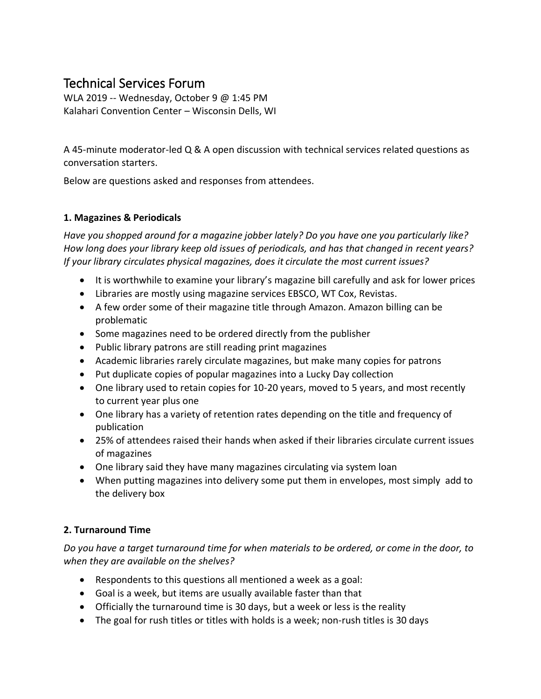# Technical Services Forum

WLA 2019 -- Wednesday, October 9 @ 1:45 PM Kalahari Convention Center – Wisconsin Dells, WI

A 45-minute moderator-led Q & A open discussion with technical services related questions as conversation starters.

Below are questions asked and responses from attendees.

## **1. Magazines & Periodicals**

*Have you shopped around for a magazine jobber lately? Do you have one you particularly like? How long does your library keep old issues of periodicals, and has that changed in recent years? If your library circulates physical magazines, does it circulate the most current issues?*

- It is worthwhile to examine your library's magazine bill carefully and ask for lower prices
- Libraries are mostly using magazine services EBSCO, WT Cox, Revistas.
- A few order some of their magazine title through Amazon. Amazon billing can be problematic
- Some magazines need to be ordered directly from the publisher
- Public library patrons are still reading print magazines
- Academic libraries rarely circulate magazines, but make many copies for patrons
- Put duplicate copies of popular magazines into a Lucky Day collection
- One library used to retain copies for 10-20 years, moved to 5 years, and most recently to current year plus one
- One library has a variety of retention rates depending on the title and frequency of publication
- 25% of attendees raised their hands when asked if their libraries circulate current issues of magazines
- One library said they have many magazines circulating via system loan
- When putting magazines into delivery some put them in envelopes, most simply add to the delivery box

# **2. Turnaround Time**

*Do you have a target turnaround time for when materials to be ordered, or come in the door, to when they are available on the shelves?*

- Respondents to this questions all mentioned a week as a goal:
- Goal is a week, but items are usually available faster than that
- Officially the turnaround time is 30 days, but a week or less is the reality
- The goal for rush titles or titles with holds is a week; non-rush titles is 30 days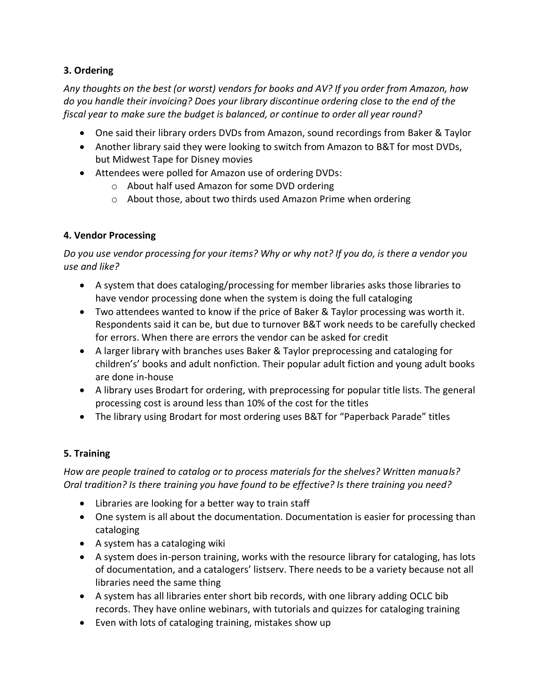## **3. Ordering**

*Any thoughts on the best (or worst) vendors for books and AV? If you order from Amazon, how do you handle their invoicing? Does your library discontinue ordering close to the end of the fiscal year to make sure the budget is balanced, or continue to order all year round?*

- One said their library orders DVDs from Amazon, sound recordings from Baker & Taylor
- Another library said they were looking to switch from Amazon to B&T for most DVDs, but Midwest Tape for Disney movies
- Attendees were polled for Amazon use of ordering DVDs:
	- o About half used Amazon for some DVD ordering
	- o About those, about two thirds used Amazon Prime when ordering

## **4. Vendor Processing**

*Do you use vendor processing for your items? Why or why not? If you do, is there a vendor you use and like?*

- A system that does cataloging/processing for member libraries asks those libraries to have vendor processing done when the system is doing the full cataloging
- Two attendees wanted to know if the price of Baker & Taylor processing was worth it. Respondents said it can be, but due to turnover B&T work needs to be carefully checked for errors. When there are errors the vendor can be asked for credit
- A larger library with branches uses Baker & Taylor preprocessing and cataloging for children's' books and adult nonfiction. Their popular adult fiction and young adult books are done in-house
- A library uses Brodart for ordering, with preprocessing for popular title lists. The general processing cost is around less than 10% of the cost for the titles
- The library using Brodart for most ordering uses B&T for "Paperback Parade" titles

# **5. Training**

*How are people trained to catalog or to process materials for the shelves? Written manuals? Oral tradition? Is there training you have found to be effective? Is there training you need?*

- Libraries are looking for a better way to train staff
- One system is all about the documentation. Documentation is easier for processing than cataloging
- A system has a cataloging wiki
- A system does in-person training, works with the resource library for cataloging, has lots of documentation, and a catalogers' listserv. There needs to be a variety because not all libraries need the same thing
- A system has all libraries enter short bib records, with one library adding OCLC bib records. They have online webinars, with tutorials and quizzes for cataloging training
- Even with lots of cataloging training, mistakes show up